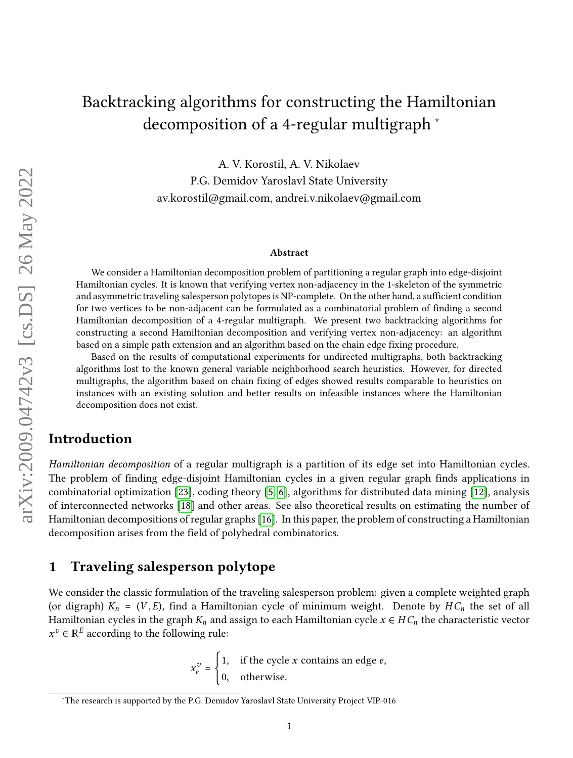# Backtracking algorithms for constructing the Hamiltonian decomposition of a 4-regular multigraph <sup>∗</sup>

A. V. Korostil, A. V. Nikolaev P.G. Demidov Yaroslavl State University av.korostil@gmail.com, andrei.v.nikolaev@gmail.com

#### Abstract

We consider a Hamiltonian decomposition problem of partitioning a regular graph into edge-disjoint Hamiltonian cycles. It is known that verifying vertex non-adjacency in the 1-skeleton of the symmetric and asymmetric traveling salesperson polytopes is NP-complete. On the other hand, a sufficient condition for two vertices to be non-adjacent can be formulated as a combinatorial problem of finding a second Hamiltonian decomposition of a 4-regular multigraph. We present two backtracking algorithms for constructing a second Hamiltonian decomposition and verifying vertex non-adjacency: an algorithm based on a simple path extension and an algorithm based on the chain edge fixing procedure.

Based on the results of computational experiments for undirected multigraphs, both backtracking algorithms lost to the known general variable neighborhood search heuristics. However, for directed multigraphs, the algorithm based on chain fixing of edges showed results comparable to heuristics on instances with an existing solution and better results on infeasible instances where the Hamiltonian decomposition does not exist.

### Introduction

Hamiltonian decomposition of a regular multigraph is a partition of its edge set into Hamiltonian cycles. The problem of finding edge-disjoint Hamiltonian cycles in a given regular graph finds applications in combinatorial optimization [\[23\]](#page-13-0), coding theory [\[5,](#page-12-0) [6\]](#page-12-1), algorithms for distributed data mining [\[12\]](#page-12-2), analysis of interconnected networks [\[18\]](#page-13-1) and other areas. See also theoretical results on estimating the number of Hamiltonian decompositions of regular graphs [\[16\]](#page-13-2). In this paper, the problem of constructing a Hamiltonian decomposition arises from the field of polyhedral combinatorics.

# 1 Traveling salesperson polytope

We consider the classic formulation of the traveling salesperson problem: given a complete weighted graph (or digraph)  $K_n = (V, E)$ , find a Hamiltonian cycle of minimum weight. Denote by  $HC_n$  the set of all Hamiltonian cycles in the graph  $K_n$  and assign to each Hamiltonian cycle  $x \in HC_n$  the characteristic vector  $x^v \in \mathbb{R}^E$  according to the following rule:

$$
x_e^v = \begin{cases} 1, & \text{if the cycle } x \text{ contains an edge } e, \\ 0, & \text{otherwise.} \end{cases}
$$

 $\overline{a}$ 

<sup>∗</sup>The research is supported by the P.G. Demidov Yaroslavl State University Project VIP-016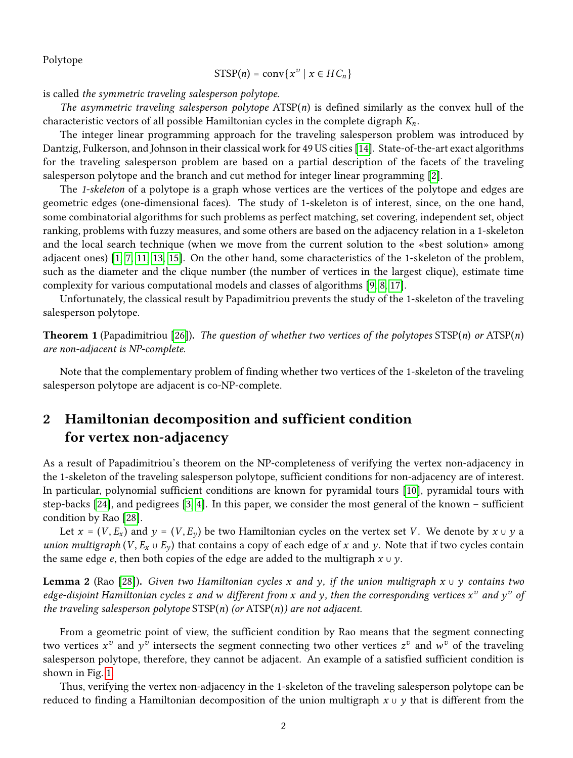Polytope

$$
STSP(n) = \text{conv}\{x^v \mid x \in HC_n\}
$$

is called the symmetric traveling salesperson polytope.

The asymmetric traveling salesperson polytope  $ATSP(n)$  is defined similarly as the convex hull of the characteristic vectors of all possible Hamiltonian cycles in the complete digraph  $K_n$ .

The integer linear programming approach for the traveling salesperson problem was introduced by Dantzig, Fulkerson, and Johnson in their classical work for 49 US cities [\[14\]](#page-13-3). State-of-the-art exact algorithms for the traveling salesperson problem are based on a partial description of the facets of the traveling salesperson polytope and the branch and cut method for integer linear programming [\[2\]](#page-12-3).

The 1-skeleton of a polytope is a graph whose vertices are the vertices of the polytope and edges are geometric edges (one-dimensional faces). The study of 1-skeleton is of interest, since, on the one hand, some combinatorial algorithms for such problems as perfect matching, set covering, independent set, object ranking, problems with fuzzy measures, and some others are based on the adjacency relation in a 1-skeleton and the local search technique (when we move from the current solution to the «best solution» among adjacent ones) [\[1,](#page-12-4) [7,](#page-12-5) [11,](#page-12-6) [13,](#page-13-4) [15\]](#page-13-5). On the other hand, some characteristics of the 1-skeleton of the problem, such as the diameter and the clique number (the number of vertices in the largest clique), estimate time complexity for various computational models and classes of algorithms [\[9,](#page-12-7) [8,](#page-12-8) [17\]](#page-13-6).

Unfortunately, the classical result by Papadimitriou prevents the study of the 1-skeleton of the traveling salesperson polytope.

**Theorem 1** (Papadimitriou [\[26\]](#page-13-7)). The question of whether two vertices of the polytopes  $STSP(n)$  or  $ATSP(n)$ are non-adjacent is NP-complete.

Note that the complementary problem of finding whether two vertices of the 1-skeleton of the traveling salesperson polytope are adjacent is co-NP-complete.

# 2 Hamiltonian decomposition and sufficient condition for vertex non-adjacency

As a result of Papadimitriou's theorem on the NP-completeness of verifying the vertex non-adjacency in the 1-skeleton of the traveling salesperson polytope, sufficient conditions for non-adjacency are of interest. In particular, polynomial sufficient conditions are known for pyramidal tours [\[10\]](#page-12-9), pyramidal tours with step-backs [\[24\]](#page-13-8), and pedigrees [\[3,](#page-12-10) [4\]](#page-12-11). In this paper, we consider the most general of the known – sufficient condition by Rao [\[28\]](#page-13-9).

Let  $x = (V, E_x)$  and  $y = (V, E_y)$  be two Hamiltonian cycles on the vertex set V. We denote by  $x \cup y$  a union multigraph  $(V, E_x \cup E_y)$  that contains a copy of each edge of x and y. Note that if two cycles contain the same edge e, then both copies of the edge are added to the multigraph  $x \cup y$ .

**Lemma 2** (Rao [\[28\]](#page-13-9)). Given two Hamiltonian cycles x and y, if the union multigraph  $x \cup y$  contains two edge-disjoint Hamiltonian cycles z and w different from x and y, then the corresponding vertices  $x^v$  and  $y^v$  of the traveling salesperson polytope  $STSP(n)$  (or  $ATSP(n)$ ) are not adjacent.

From a geometric point of view, the sufficient condition by Rao means that the segment connecting two vertices  $x^v$  and  $y^{\overline{v}}$  intersects the segment connecting two other vertices  $z^v$  and  $w^{\overline{v}}$  of the traveling salesperson polytope, therefore, they cannot be adjacent. An example of a satisfied sufficient condition is shown in Fig. [1.](#page-2-0)

Thus, verifying the vertex non-adjacency in the 1-skeleton of the traveling salesperson polytope can be reduced to finding a Hamiltonian decomposition of the union multigraph  $x \cup y$  that is different from the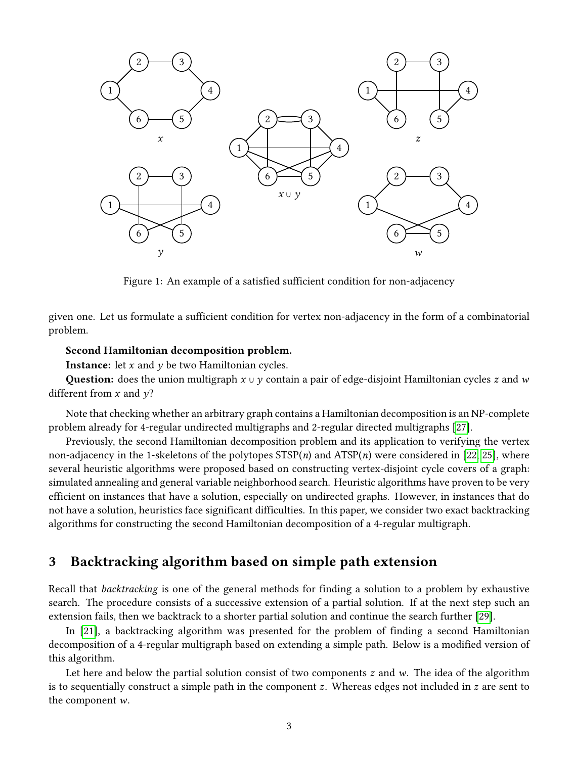

<span id="page-2-0"></span>Figure 1: An example of a satisfied sufficient condition for non-adjacency

given one. Let us formulate a sufficient condition for vertex non-adjacency in the form of a combinatorial problem.

#### Second Hamiltonian decomposition problem.

**Instance:** let  $x$  and  $y$  be two Hamiltonian cycles.

Question: does the union multigraph  $x \cup y$  contain a pair of edge-disjoint Hamiltonian cycles z and w different from  $x$  and  $y$ ?

Note that checking whether an arbitrary graph contains a Hamiltonian decomposition is an NP-complete problem already for 4-regular undirected multigraphs and 2-regular directed multigraphs [\[27\]](#page-13-10).

Previously, the second Hamiltonian decomposition problem and its application to verifying the vertex non-adjacency in the 1-skeletons of the polytopes  $STSP(n)$  and  $ATSP(n)$  were considered in [\[22,](#page-13-11) [25\]](#page-13-12), where several heuristic algorithms were proposed based on constructing vertex-disjoint cycle covers of a graph: simulated annealing and general variable neighborhood search. Heuristic algorithms have proven to be very efficient on instances that have a solution, especially on undirected graphs. However, in instances that do not have a solution, heuristics face significant difficulties. In this paper, we consider two exact backtracking algorithms for constructing the second Hamiltonian decomposition of a 4-regular multigraph.

### 3 Backtracking algorithm based on simple path extension

Recall that backtracking is one of the general methods for finding a solution to a problem by exhaustive search. The procedure consists of a successive extension of a partial solution. If at the next step such an extension fails, then we backtrack to a shorter partial solution and continue the search further [\[29\]](#page-13-13).

In [\[21\]](#page-13-14), a backtracking algorithm was presented for the problem of finding a second Hamiltonian decomposition of a 4-regular multigraph based on extending a simple path. Below is a modified version of this algorithm.

Let here and below the partial solution consist of two components  $z$  and  $w$ . The idea of the algorithm is to sequentially construct a simple path in the component  $z$ . Whereas edges not included in  $z$  are sent to the component  $w$ .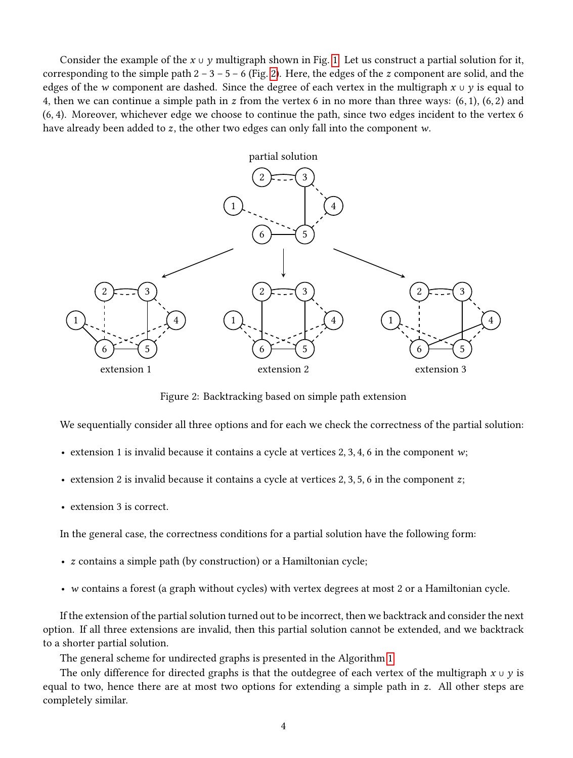Consider the example of the  $x \cup y$  multigraph shown in Fig. [1.](#page-2-0) Let us construct a partial solution for it, corresponding to the simple path  $2 - 3 - 5 - 6$  (Fig. [2\)](#page-3-0). Here, the edges of the z component are solid, and the edges of the w component are dashed. Since the degree of each vertex in the multigraph  $x \cup y$  is equal to 4, then we can continue a simple path in z from the vertex 6 in no more than three ways:  $(6, 1)$ ,  $(6, 2)$  and (6, 4). Moreover, whichever edge we choose to continue the path, since two edges incident to the vertex 6 have already been added to  $z$ , the other two edges can only fall into the component  $w$ .



<span id="page-3-0"></span>Figure 2: Backtracking based on simple path extension

We sequentially consider all three options and for each we check the correctness of the partial solution:

- extension 1 is invalid because it contains a cycle at vertices 2, 3, 4, 6 in the component  $w$ ;
- extension 2 is invalid because it contains a cycle at vertices 2, 3, 5, 6 in the component  $z$ ;
- extension 3 is correct.

In the general case, the correctness conditions for a partial solution have the following form:

- $\bullet$  z contains a simple path (by construction) or a Hamiltonian cycle;
- w contains a forest (a graph without cycles) with vertex degrees at most 2 or a Hamiltonian cycle.

If the extension of the partial solution turned out to be incorrect, then we backtrack and consider the next option. If all three extensions are invalid, then this partial solution cannot be extended, and we backtrack to a shorter partial solution.

The general scheme for undirected graphs is presented in the Algorithm [1.](#page-4-0)

The only difference for directed graphs is that the outdegree of each vertex of the multigraph  $x \cup y$  is equal to two, hence there are at most two options for extending a simple path in  $z$ . All other steps are completely similar.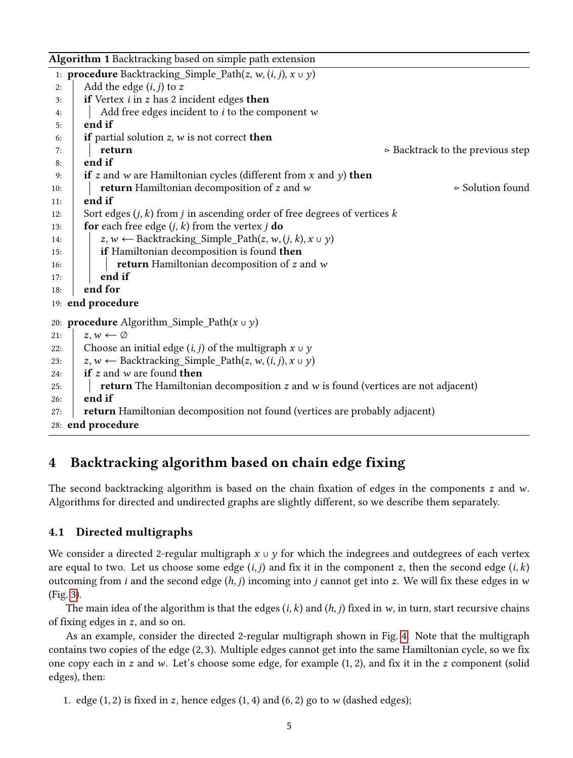<span id="page-4-0"></span>

|     | Algorithm 1 Backtracking based on simple path extension                               |
|-----|---------------------------------------------------------------------------------------|
|     | 1: <b>procedure</b> Backtracking_Simple_Path $(z, w, (i, j), x \cup y)$               |
| 2:  | Add the edge $(i, j)$ to z                                                            |
| 3:  | if Vertex $i$ in $z$ has 2 incident edges then                                        |
| 4:  | Add free edges incident to $i$ to the component $w$                                   |
| 5:  | end if                                                                                |
| 6:  | if partial solution $z$ , $w$ is not correct then                                     |
| 7:  | $\triangleright$ Backtrack to the previous step<br>return                             |
| 8:  | end if                                                                                |
| 9:  | if z and w are Hamiltonian cycles (different from x and y) then                       |
| 10: | return Hamiltonian decomposition of $z$ and $w$<br>$\triangleright$ Solution found    |
| 11: | end if                                                                                |
| 12: | Sort edges $(j, k)$ from j in ascending order of free degrees of vertices $k$         |
| 13: | for each free edge $(j, k)$ from the vertex j do                                      |
| 14: | $z, w \leftarrow$ Backtracking_Simple_Path $(z, w, (j, k), x \cup y)$                 |
| 15: | if Hamiltonian decomposition is found then                                            |
| 16: | return Hamiltonian decomposition of $z$ and $w$                                       |
| 17: | end if                                                                                |
| 18: | end for                                                                               |
|     | 19: end procedure                                                                     |
|     | 20: <b>procedure</b> Algorithm_Simple_Path( $x \cup y$ )                              |
| 21: | $z, w \leftarrow \emptyset$                                                           |
| 22: | Choose an initial edge $(i, j)$ of the multigraph $x \cup y$                          |
| 23: | $z, w \leftarrow$ Backtracking_Simple_Path $(z, w, (i, j), x \cup y)$                 |
| 24: | if $z$ and $w$ are found then                                                         |
| 25: | return The Hamiltonian decomposition $z$ and $w$ is found (vertices are not adjacent) |
| 26: | end if                                                                                |
| 27: | return Hamiltonian decomposition not found (vertices are probably adjacent)           |
|     | 28: end procedure                                                                     |

# 4 Backtracking algorithm based on chain edge fixing

The second backtracking algorithm is based on the chain fixation of edges in the components  $z$  and  $w$ . Algorithms for directed and undirected graphs are slightly different, so we describe them separately.

#### 4.1 Directed multigraphs

We consider a directed 2-regular multigraph  $x \cup y$  for which the indegrees and outdegrees of each vertex are equal to two. Let us choose some edge  $(i, j)$  and fix it in the component z, then the second edge  $(i, k)$ outcoming from *i* and the second edge  $(h, j)$  incoming into *j* cannot get into *z*. We will fix these edges in  $w$ (Fig. [3\)](#page-5-0).

The main idea of the algorithm is that the edges  $(i, k)$  and  $(h, j)$  fixed in w, in turn, start recursive chains of fixing edges in  $z$ , and so on.

As an example, consider the directed 2-regular multigraph shown in Fig. [4.](#page-5-1) Note that the multigraph contains two copies of the edge (2, 3). Multiple edges cannot get into the same Hamiltonian cycle, so we fix one copy each in z and w. Let's choose some edge, for example  $(1, 2)$ , and fix it in the z component (solid edges), then:

1. edge  $(1, 2)$  is fixed in z, hence edges  $(1, 4)$  and  $(6, 2)$  go to w (dashed edges);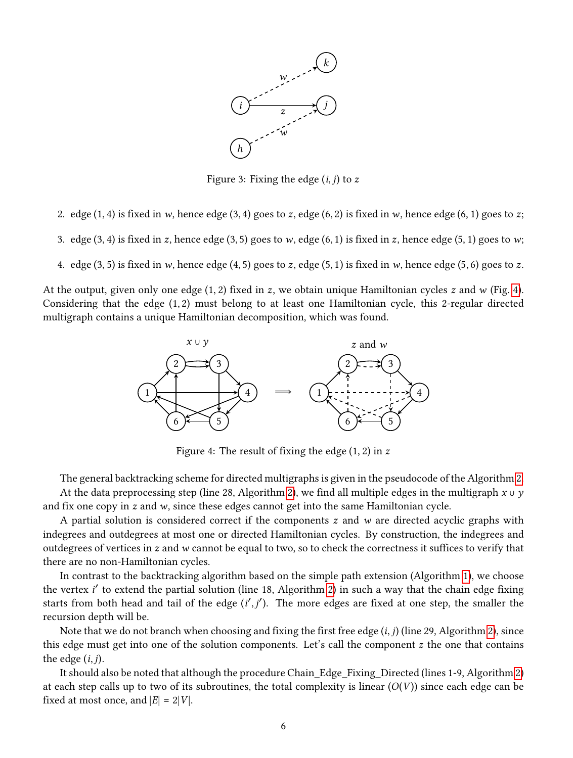

<span id="page-5-0"></span>Figure 3: Fixing the edge  $(i, j)$  to z

- 2. edge (1, 4) is fixed in w, hence edge (3, 4) goes to z, edge (6, 2) is fixed in w, hence edge (6, 1) goes to z;
- 3. edge  $(3, 4)$  is fixed in z, hence edge  $(3, 5)$  goes to w, edge  $(6, 1)$  is fixed in z, hence edge  $(5, 1)$  goes to w;
- 4. edge  $(3, 5)$  is fixed in w, hence edge  $(4, 5)$  goes to z, edge  $(5, 1)$  is fixed in w, hence edge  $(5, 6)$  goes to z.

At the output, given only one edge (1, 2) fixed in z, we obtain unique Hamiltonian cycles z and  $w$  (Fig. [4\)](#page-5-1). Considering that the edge (1, 2) must belong to at least one Hamiltonian cycle, this 2-regular directed multigraph contains a unique Hamiltonian decomposition, which was found.



<span id="page-5-1"></span>Figure 4: The result of fixing the edge  $(1, 2)$  in z

The general backtracking scheme for directed multigraphs is given in the pseudocode of the Algorithm [2.](#page-6-0)

At the data preprocessing step (line 28, Algorithm [2\)](#page-6-0), we find all multiple edges in the multigraph  $x \cup y$ and fix one copy in  $z$  and  $w$ , since these edges cannot get into the same Hamiltonian cycle.

A partial solution is considered correct if the components  $z$  and  $w$  are directed acyclic graphs with indegrees and outdegrees at most one or directed Hamiltonian cycles. By construction, the indegrees and outdegrees of vertices in  $z$  and  $w$  cannot be equal to two, so to check the correctness it suffices to verify that there are no non-Hamiltonian cycles.

In contrast to the backtracking algorithm based on the simple path extension (Algorithm [1\)](#page-4-0), we choose the vertex  $i'$  to extend the partial solution (line 18, Algorithm [2\)](#page-6-0) in such a way that the chain edge fixing starts from both head and tail of the edge  $(i', j')$ . The more edges are fixed at one step, the smaller the recursion depth will be.

Note that we do not branch when choosing and fixing the first free edge  $(i, j)$  (line 29, Algorithm [2\)](#page-6-0), since this edge must get into one of the solution components. Let's call the component  $z$  the one that contains the edge  $(i, j)$ .

It should also be noted that although the procedure Chain\_Edge\_Fixing\_Directed (lines 1-9, Algorithm [2\)](#page-6-0) at each step calls up to two of its subroutines, the total complexity is linear  $(O(V))$  since each edge can be fixed at most once, and  $|E| = 2|V|$ .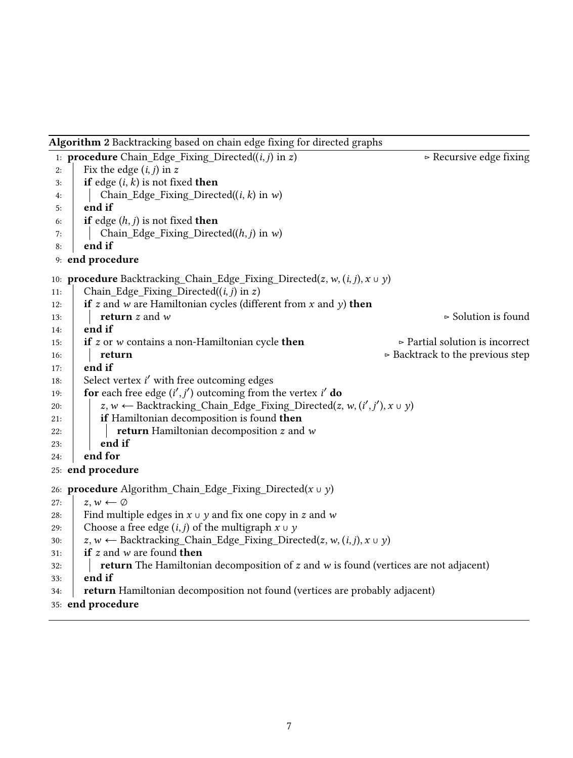<span id="page-6-0"></span>Algorithm 2 Backtracking based on chain edge fixing for directed graphs

|     | $\circ$                                                                                         |                                                |
|-----|-------------------------------------------------------------------------------------------------|------------------------------------------------|
|     | 1: <b>procedure</b> Chain_Edge_Fixing_Directed $((i, j)$ in z)                                  | $\triangleright$ Recursive edge fixing         |
| 2:  | Fix the edge $(i, j)$ in z                                                                      |                                                |
| 3:  | if edge $(i, k)$ is not fixed then                                                              |                                                |
| 4:  | Chain_Edge_Fixing_Directed $((i, k)$ in w)                                                      |                                                |
| 5:  | end if                                                                                          |                                                |
| 6:  | if edge $(h, j)$ is not fixed then                                                              |                                                |
| 7:  | Chain_Edge_Fixing_Directed $((h, j)$ in w)                                                      |                                                |
| 8:  | end if                                                                                          |                                                |
|     | 9: end procedure                                                                                |                                                |
|     | 10: <b>procedure</b> Backtracking_Chain_Edge_Fixing_Directed( $z, w, (i, j), x \cup y$ )        |                                                |
| 11: | Chain_Edge_Fixing_Directed $((i, j)$ in z)                                                      |                                                |
| 12: | if z and w are Hamiltonian cycles (different from x and y) then                                 |                                                |
| 13: | <b>return</b> $z$ and $w$                                                                       | $\triangleright$ Solution is found             |
| 14: | end if                                                                                          |                                                |
| 15: | if $z$ or $w$ contains a non-Hamiltonian cycle then                                             | $\triangleright$ Partial solution is incorrect |
| 16: | return                                                                                          | ⊳ Backtrack to the previous step               |
| 17: | end if                                                                                          |                                                |
| 18: | Select vertex i' with free outcoming edges                                                      |                                                |
| 19: | <b>for</b> each free edge $(i', j')$ outcoming from the vertex i' do                            |                                                |
| 20: | $z, w \leftarrow$ Backtracking_Chain_Edge_Fixing_Directed( $z, w, (i', j'), x \cup y$ )         |                                                |
| 21: | if Hamiltonian decomposition is found then                                                      |                                                |
| 22: | return Hamiltonian decomposition $z$ and $w$                                                    |                                                |
| 23: | end if                                                                                          |                                                |
| 24: | end for                                                                                         |                                                |
|     | 25: end procedure                                                                               |                                                |
|     | 26: <b>procedure</b> Algorithm_Chain_Edge_Fixing_Directed( $x \cup y$ )                         |                                                |
| 27: | $z, w \leftarrow \emptyset$                                                                     |                                                |
| 28: | Find multiple edges in $x \cup y$ and fix one copy in z and w                                   |                                                |
| 29: | Choose a free edge $(i, j)$ of the multigraph $x \cup y$                                        |                                                |
| 30: | $z, w \leftarrow$ Backtracking_Chain_Edge_Fixing_Directed( $z, w, (i, j), x \cup y$ )           |                                                |
| 31: | if $z$ and $w$ are found then                                                                   |                                                |
| 32: | <b>return</b> The Hamiltonian decomposition of $z$ and $w$ is found (vertices are not adjacent) |                                                |
| 33: | end if                                                                                          |                                                |
| 34: | return Hamiltonian decomposition not found (vertices are probably adjacent)                     |                                                |
|     | 35: end procedure                                                                               |                                                |
|     |                                                                                                 |                                                |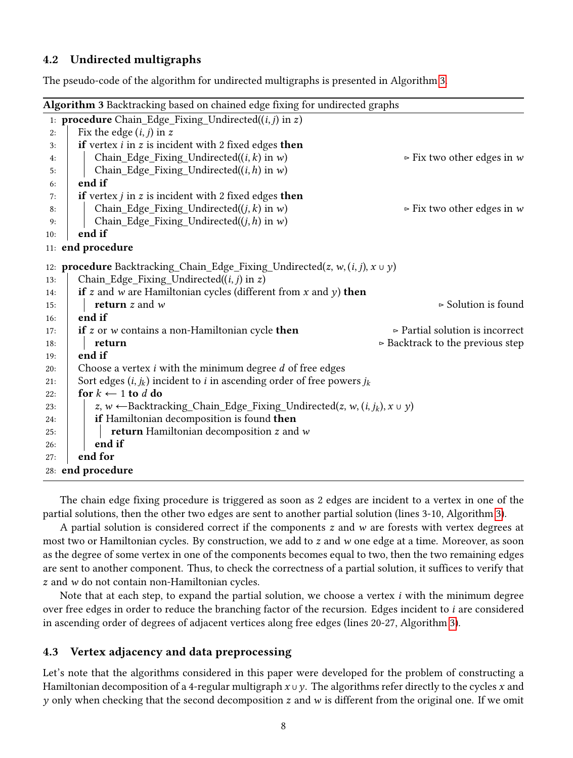#### 4.2 Undirected multigraphs

The pseudo-code of the algorithm for undirected multigraphs is presented in Algorithm [3.](#page-7-0)

<span id="page-7-0"></span>

|            | Algorithm 3 Backtracking based on chained edge fixing for undirected graphs                                                                                                                                            |                                                 |
|------------|------------------------------------------------------------------------------------------------------------------------------------------------------------------------------------------------------------------------|-------------------------------------------------|
|            | 1: <b>procedure</b> Chain_Edge_Fixing_Undirected $((i, j)$ in z)                                                                                                                                                       |                                                 |
| 2:         | Fix the edge $(i, j)$ in z                                                                                                                                                                                             |                                                 |
| 3:         | if vertex $i$ in $z$ is incident with 2 fixed edges then                                                                                                                                                               |                                                 |
| 4:         | Chain_Edge_Fixing_Undirected $((i, k)$ in w)                                                                                                                                                                           | $\triangleright$ Fix two other edges in w       |
| 5:         | Chain_Edge_Fixing_Undirected $((i, h)$ in w)                                                                                                                                                                           |                                                 |
| 6:         | end if                                                                                                                                                                                                                 |                                                 |
| 7:         | if vertex $j$ in $z$ is incident with 2 fixed edges then                                                                                                                                                               |                                                 |
| 8:         | Chain_Edge_Fixing_Undirected( $(j, k)$ in w)                                                                                                                                                                           | $\triangleright$ Fix two other edges in w       |
| 9:         | Chain_Edge_Fixing_Undirected( $(j, h)$ in w)                                                                                                                                                                           |                                                 |
| 10:        | end if                                                                                                                                                                                                                 |                                                 |
|            | 11: end procedure                                                                                                                                                                                                      |                                                 |
| 13:<br>14: | 12: <b>procedure</b> Backtracking_Chain_Edge_Fixing_Undirected( $z$ , $w$ , $(i, j)$ , $x \cup y$ )<br>Chain Edge Fixing Undirected $((i, j)$ in z)<br>if z and w are Hamiltonian cycles (different from x and y) then |                                                 |
| 15:        | <b>return</b> $z$ and $w$                                                                                                                                                                                              | $\triangleright$ Solution is found              |
| 16:        | end if                                                                                                                                                                                                                 |                                                 |
| 17:        | if $z$ or $w$ contains a non-Hamiltonian cycle then                                                                                                                                                                    | $\triangleright$ Partial solution is incorrect  |
| 18:        | return                                                                                                                                                                                                                 | $\triangleright$ Backtrack to the previous step |
| 19:        | end if                                                                                                                                                                                                                 |                                                 |
| 20:        | Choose a vertex <i>i</i> with the minimum degree <i>d</i> of free edges                                                                                                                                                |                                                 |
| 21:        | Sort edges $(i, j_k)$ incident to <i>i</i> in ascending order of free powers $j_k$                                                                                                                                     |                                                 |
| 22:        | for $k \leftarrow 1$ to d do                                                                                                                                                                                           |                                                 |
| 23:        | <i>z</i> , <i>w</i> ← Backtracking_Chain_Edge_Fixing_Undirected( <i>z</i> , <i>w</i> , ( <i>i</i> , <i>j</i> <sub>k</sub> ), <i>x</i> ∪ <i>y</i> )                                                                     |                                                 |
| 24:        | if Hamiltonian decomposition is found then                                                                                                                                                                             |                                                 |
| 25:        | return Hamiltonian decomposition $z$ and $w$                                                                                                                                                                           |                                                 |
| 26:        | end if                                                                                                                                                                                                                 |                                                 |
| 27:        | end for                                                                                                                                                                                                                |                                                 |
|            | 28: end procedure                                                                                                                                                                                                      |                                                 |

The chain edge fixing procedure is triggered as soon as 2 edges are incident to a vertex in one of the partial solutions, then the other two edges are sent to another partial solution (lines 3-10, Algorithm [3\)](#page-7-0).

A partial solution is considered correct if the components  $z$  and  $w$  are forests with vertex degrees at most two or Hamiltonian cycles. By construction, we add to  $z$  and  $w$  one edge at a time. Moreover, as soon as the degree of some vertex in one of the components becomes equal to two, then the two remaining edges are sent to another component. Thus, to check the correctness of a partial solution, it suffices to verify that  $z$  and  $w$  do not contain non-Hamiltonian cycles.

Note that at each step, to expand the partial solution, we choose a vertex  $i$  with the minimum degree over free edges in order to reduce the branching factor of the recursion. Edges incident to  $i$  are considered in ascending order of degrees of adjacent vertices along free edges (lines 20-27, Algorithm [3\)](#page-7-0).

#### 4.3 Vertex adjacency and data preprocessing

Let's note that the algorithms considered in this paper were developed for the problem of constructing a Hamiltonian decomposition of a 4-regular multigraph  $x \cup y$ . The algorithms refer directly to the cycles x and  $\gamma$  only when checking that the second decomposition z and  $\omega$  is different from the original one. If we omit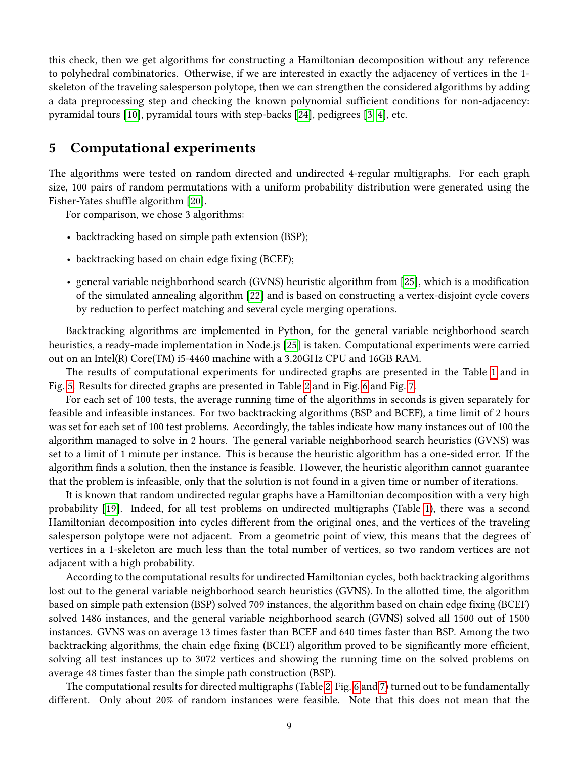this check, then we get algorithms for constructing a Hamiltonian decomposition without any reference to polyhedral combinatorics. Otherwise, if we are interested in exactly the adjacency of vertices in the 1 skeleton of the traveling salesperson polytope, then we can strengthen the considered algorithms by adding a data preprocessing step and checking the known polynomial sufficient conditions for non-adjacency: pyramidal tours [\[10\]](#page-12-9), pyramidal tours with step-backs [\[24\]](#page-13-8), pedigrees [\[3,](#page-12-10) [4\]](#page-12-11), etc.

## 5 Computational experiments

The algorithms were tested on random directed and undirected 4-regular multigraphs. For each graph size, 100 pairs of random permutations with a uniform probability distribution were generated using the Fisher-Yates shuffle algorithm [\[20\]](#page-13-15).

For comparison, we chose 3 algorithms:

- backtracking based on simple path extension (BSP):
- backtracking based on chain edge fixing (BCEF);
- general variable neighborhood search (GVNS) heuristic algorithm from [\[25\]](#page-13-12), which is a modification of the simulated annealing algorithm [\[22\]](#page-13-11) and is based on constructing a vertex-disjoint cycle covers by reduction to perfect matching and several cycle merging operations.

Backtracking algorithms are implemented in Python, for the general variable neighborhood search heuristics, a ready-made implementation in Node.js [\[25\]](#page-13-12) is taken. Computational experiments were carried out on an Intel(R) Core(TM) i5-4460 machine with a 3.20GHz CPU and 16GB RAM.

The results of computational experiments for undirected graphs are presented in the Table [1](#page-9-0) and in Fig. [5.](#page-9-1) Results for directed graphs are presented in Table [2](#page-11-0) and in Fig. [6](#page-10-0) and Fig. [7.](#page-10-1)

For each set of 100 tests, the average running time of the algorithms in seconds is given separately for feasible and infeasible instances. For two backtracking algorithms (BSP and BCEF), a time limit of 2 hours was set for each set of 100 test problems. Accordingly, the tables indicate how many instances out of 100 the algorithm managed to solve in 2 hours. The general variable neighborhood search heuristics (GVNS) was set to a limit of 1 minute per instance. This is because the heuristic algorithm has a one-sided error. If the algorithm finds a solution, then the instance is feasible. However, the heuristic algorithm cannot guarantee that the problem is infeasible, only that the solution is not found in a given time or number of iterations.

It is known that random undirected regular graphs have a Hamiltonian decomposition with a very high probability [\[19\]](#page-13-16). Indeed, for all test problems on undirected multigraphs (Table [1\)](#page-9-0), there was a second Hamiltonian decomposition into cycles different from the original ones, and the vertices of the traveling salesperson polytope were not adjacent. From a geometric point of view, this means that the degrees of vertices in a 1-skeleton are much less than the total number of vertices, so two random vertices are not adjacent with a high probability.

According to the computational results for undirected Hamiltonian cycles, both backtracking algorithms lost out to the general variable neighborhood search heuristics (GVNS). In the allotted time, the algorithm based on simple path extension (BSP) solved 709 instances, the algorithm based on chain edge fixing (BCEF) solved 1486 instances, and the general variable neighborhood search (GVNS) solved all 1500 out of 1500 instances. GVNS was on average 13 times faster than BCEF and 640 times faster than BSP. Among the two backtracking algorithms, the chain edge fixing (BCEF) algorithm proved to be significantly more efficient, solving all test instances up to 3072 vertices and showing the running time on the solved problems on average 48 times faster than the simple path construction (BSP).

The computational results for directed multigraphs (Table [2,](#page-11-0) Fig. [6](#page-10-0) and [7\)](#page-10-1) turned out to be fundamentally different. Only about 20% of random instances were feasible. Note that this does not mean that the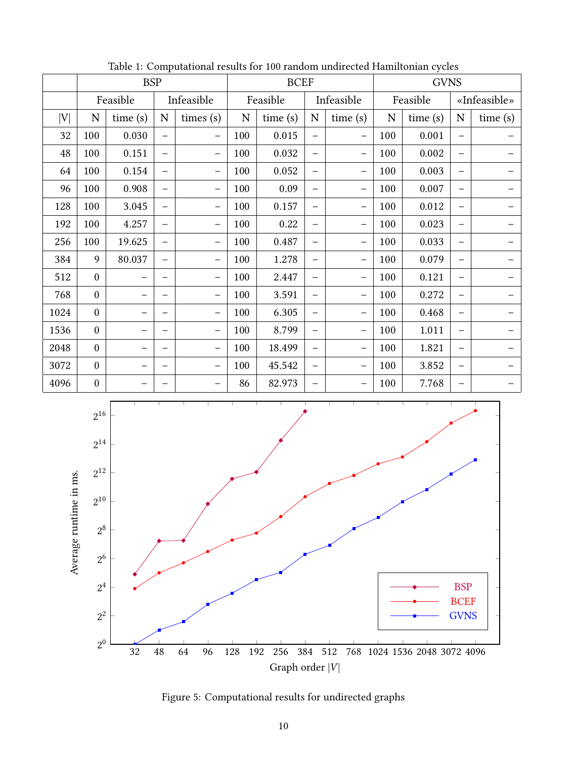|      |                  | <b>BSP</b> |                          | <b>BCEF</b>              |     |          |                          | <b>GVNS</b>              |             |          |                                  |              |  |
|------|------------------|------------|--------------------------|--------------------------|-----|----------|--------------------------|--------------------------|-------------|----------|----------------------------------|--------------|--|
|      | Feasible         |            |                          | Infeasible               |     | Feasible |                          | Infeasible               |             | Feasible |                                  | «Infeasible» |  |
| V    | N                | time(s)    | $\mathbf N$              | times (s)                | N   | time(s)  | N                        | time(s)                  | $\mathbf N$ | time(s)  | $\mathbf N$                      | time(s)      |  |
| 32   | 100              | 0.030      | $\qquad \qquad -$        | $\overline{\phantom{0}}$ | 100 | 0.015    | $\overline{\phantom{0}}$ | —                        | 100         | 0.001    | $\qquad \qquad -$                |              |  |
| 48   | 100              | 0.151      | $\overline{\phantom{0}}$ | $\overline{\phantom{0}}$ | 100 | 0.032    | $\overline{\phantom{0}}$ | $\overline{\phantom{0}}$ | 100         | 0.002    | $\overline{\phantom{0}}$         |              |  |
| 64   | 100              | 0.154      | $\qquad \qquad -$        |                          | 100 | 0.052    | $\overline{\phantom{0}}$ | $\overline{\phantom{0}}$ | 100         | 0.003    | $\qquad \qquad -$                |              |  |
| 96   | 100              | 0.908      | $\overline{\phantom{0}}$ | $\overline{\phantom{0}}$ | 100 | 0.09     | $\overline{\phantom{0}}$ | $\overline{\phantom{0}}$ | 100         | 0.007    | $\overline{\phantom{0}}$         |              |  |
| 128  | 100              | 3.045      |                          | $\overline{\phantom{0}}$ | 100 | 0.157    |                          | -                        | 100         | 0.012    | -                                |              |  |
| 192  | 100              | 4.257      | $\overline{\phantom{0}}$ | $\overline{\phantom{0}}$ | 100 | 0.22     | $\overline{\phantom{0}}$ | $\overline{\phantom{0}}$ | 100         | 0.023    | $\overbrace{\phantom{12322111}}$ |              |  |
| 256  | 100              | 19.625     | $\qquad \qquad -$        | $\overline{\phantom{0}}$ | 100 | 0.487    |                          |                          | 100         | 0.033    | $\overline{\phantom{0}}$         |              |  |
| 384  | 9                | 80.037     | $\overline{\phantom{0}}$ |                          | 100 | 1.278    | $\overline{\phantom{0}}$ | $\overline{\phantom{0}}$ | 100         | 0.079    | -                                |              |  |
| 512  | $\theta$         | —          | $\overline{\phantom{0}}$ | $\overline{\phantom{0}}$ | 100 | 2.447    |                          | $\overline{\phantom{0}}$ | 100         | 0.121    | $\overline{\phantom{0}}$         |              |  |
| 768  | $\boldsymbol{0}$ | -          | -                        | $\overline{\phantom{0}}$ | 100 | 3.591    | $\qquad \qquad -$        | —                        | 100         | 0.272    | $\overbrace{\phantom{12322111}}$ |              |  |
| 1024 | $\boldsymbol{0}$ | —          |                          | $\overline{\phantom{0}}$ | 100 | 6.305    | $\overline{\phantom{0}}$ | $\overline{\phantom{0}}$ | 100         | 0.468    | $\qquad \qquad -$                |              |  |
| 1536 | $\boldsymbol{0}$ | —          | —                        |                          | 100 | 8.799    | $\qquad \qquad -$        | —                        | 100         | 1.011    | $\overline{\phantom{0}}$         |              |  |
| 2048 | $\theta$         | —          | -                        |                          | 100 | 18.499   | $\overline{\phantom{0}}$ | $\overline{\phantom{0}}$ | 100         | 1.821    | $\overline{\phantom{0}}$         |              |  |
| 3072 | $\boldsymbol{0}$ | -          | -                        |                          | 100 | 45.542   |                          | $\overline{\phantom{0}}$ | 100         | 3.852    | $\overline{\phantom{m}}$         |              |  |
| 4096 | $\mathbf{0}$     |            |                          |                          | 86  | 82.973   |                          | $\overline{\phantom{0}}$ | 100         | 7.768    | $\qquad \qquad -$                |              |  |

<span id="page-9-0"></span>Table 1: Computational results for 100 random undirected Hamiltonian cycles



<span id="page-9-1"></span>Figure 5: Computational results for undirected graphs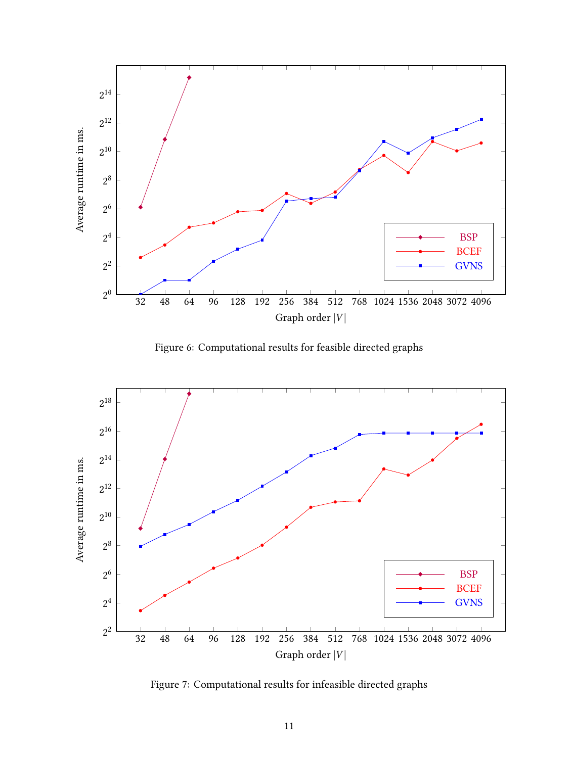

<span id="page-10-0"></span>Figure 6: Computational results for feasible directed graphs



<span id="page-10-1"></span>Figure 7: Computational results for infeasible directed graphs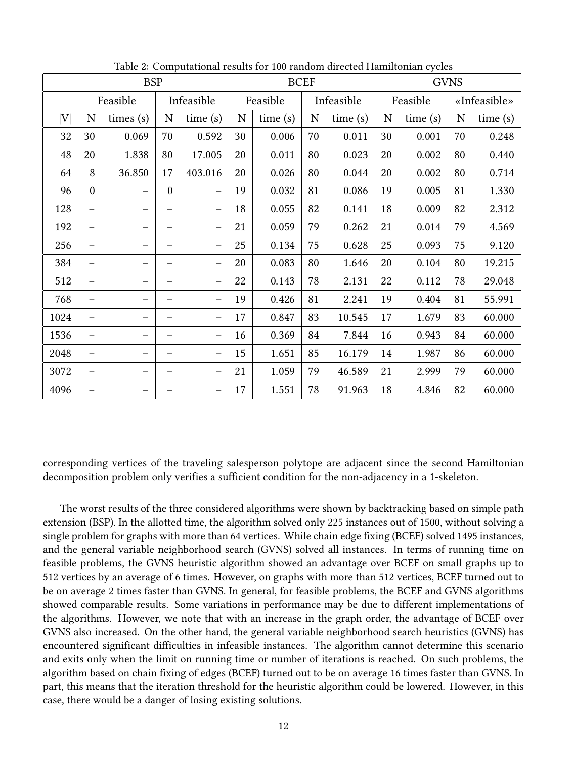|      | <b>BSP</b>       |                   |                  |                          |             | <b>BCEF</b> |             |         |             | <b>GVNS</b> |              |         |  |
|------|------------------|-------------------|------------------|--------------------------|-------------|-------------|-------------|---------|-------------|-------------|--------------|---------|--|
|      |                  | Feasible          | Infeasible       |                          | Feasible    |             | Infeasible  |         | Feasible    |             | «Infeasible» |         |  |
| V    | $\mathbf N$      | times (s)         | ${\bf N}$        | time(s)                  | $\mathbf N$ | time(s)     | $\mathbf N$ | time(s) | $\mathbf N$ | time(s)     | ${\bf N}$    | time(s) |  |
| 32   | 30               | 0.069             | 70               | 0.592                    | 30          | 0.006       | 70          | 0.011   | 30          | 0.001       | 70           | 0.248   |  |
| 48   | 20               | 1.838             | 80               | 17.005                   | 20          | 0.011       | 80          | 0.023   | 20          | 0.002       | 80           | 0.440   |  |
| 64   | 8                | 36.850            | 17               | 403.016                  | 20          | 0.026       | 80          | 0.044   | 20          | 0.002       | 80           | 0.714   |  |
| 96   | $\boldsymbol{0}$ | $\qquad \qquad -$ | $\boldsymbol{0}$ | $\overline{\phantom{0}}$ | 19          | 0.032       | 81          | 0.086   | 19          | 0.005       | 81           | 1.330   |  |
| 128  | -                | -                 |                  | -                        | 18          | 0.055       | 82          | 0.141   | 18          | 0.009       | 82           | 2.312   |  |
| 192  | —                | -                 |                  | -                        | 21          | 0.059       | 79          | 0.262   | 21          | 0.014       | 79           | 4.569   |  |
| 256  |                  | -                 |                  | $\overline{\phantom{0}}$ | 25          | 0.134       | 75          | 0.628   | 25          | 0.093       | 75           | 9.120   |  |
| 384  |                  | -                 |                  |                          | 20          | 0.083       | 80          | 1.646   | 20          | 0.104       | 80           | 19.215  |  |
| 512  |                  | -                 |                  | $\overline{\phantom{0}}$ | 22          | 0.143       | 78          | 2.131   | 22          | 0.112       | 78           | 29.048  |  |
| 768  |                  | —                 |                  |                          | 19          | 0.426       | 81          | 2.241   | 19          | 0.404       | 81           | 55.991  |  |
| 1024 |                  | -                 |                  | $\overline{\phantom{0}}$ | 17          | 0.847       | 83          | 10.545  | 17          | 1.679       | 83           | 60.000  |  |
| 1536 | -                | -                 |                  | $\overline{\phantom{0}}$ | 16          | 0.369       | 84          | 7.844   | 16          | 0.943       | 84           | 60.000  |  |
| 2048 | -                | -                 |                  | $\overline{\phantom{0}}$ | 15          | 1.651       | 85          | 16.179  | 14          | 1.987       | 86           | 60.000  |  |
| 3072 |                  | —                 |                  |                          | 21          | 1.059       | 79          | 46.589  | 21          | 2.999       | 79           | 60.000  |  |
| 4096 |                  | -                 |                  |                          | 17          | 1.551       | 78          | 91.963  | 18          | 4.846       | 82           | 60.000  |  |

<span id="page-11-0"></span>Table 2: Computational results for 100 random directed Hamiltonian cycles

corresponding vertices of the traveling salesperson polytope are adjacent since the second Hamiltonian decomposition problem only verifies a sufficient condition for the non-adjacency in a 1-skeleton.

The worst results of the three considered algorithms were shown by backtracking based on simple path extension (BSP). In the allotted time, the algorithm solved only 225 instances out of 1500, without solving a single problem for graphs with more than 64 vertices. While chain edge fixing (BCEF) solved 1495 instances, and the general variable neighborhood search (GVNS) solved all instances. In terms of running time on feasible problems, the GVNS heuristic algorithm showed an advantage over BCEF on small graphs up to 512 vertices by an average of 6 times. However, on graphs with more than 512 vertices, BCEF turned out to be on average 2 times faster than GVNS. In general, for feasible problems, the BCEF and GVNS algorithms showed comparable results. Some variations in performance may be due to different implementations of the algorithms. However, we note that with an increase in the graph order, the advantage of BCEF over GVNS also increased. On the other hand, the general variable neighborhood search heuristics (GVNS) has encountered significant difficulties in infeasible instances. The algorithm cannot determine this scenario and exits only when the limit on running time or number of iterations is reached. On such problems, the algorithm based on chain fixing of edges (BCEF) turned out to be on average 16 times faster than GVNS. In part, this means that the iteration threshold for the heuristic algorithm could be lowered. However, in this case, there would be a danger of losing existing solutions.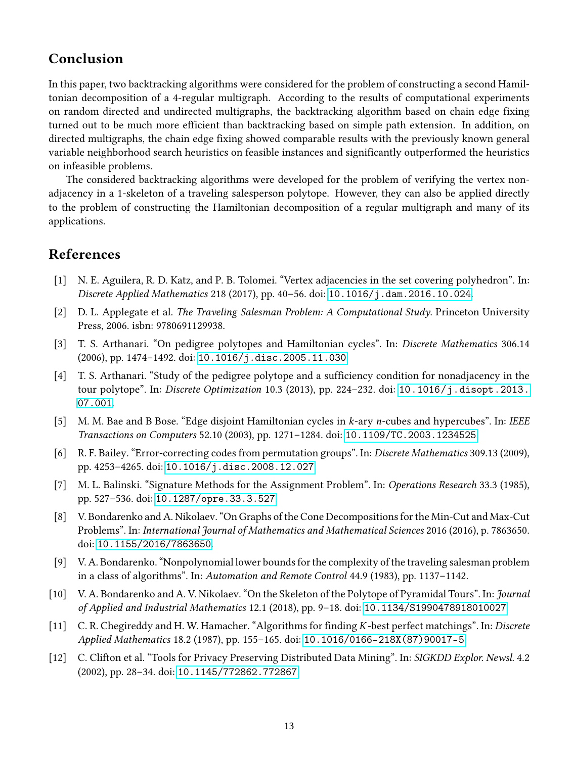# Conclusion

In this paper, two backtracking algorithms were considered for the problem of constructing a second Hamiltonian decomposition of a 4-regular multigraph. According to the results of computational experiments on random directed and undirected multigraphs, the backtracking algorithm based on chain edge fixing turned out to be much more efficient than backtracking based on simple path extension. In addition, on directed multigraphs, the chain edge fixing showed comparable results with the previously known general variable neighborhood search heuristics on feasible instances and significantly outperformed the heuristics on infeasible problems.

The considered backtracking algorithms were developed for the problem of verifying the vertex nonadjacency in a 1-skeleton of a traveling salesperson polytope. However, they can also be applied directly to the problem of constructing the Hamiltonian decomposition of a regular multigraph and many of its applications.

### References

- <span id="page-12-4"></span>[1] N. E. Aguilera, R. D. Katz, and P. B. Tolomei. "Vertex adjacencies in the set covering polyhedron". In: Discrete Applied Mathematics 218 (2017), pp. 40–56. doi: [10.1016/j.dam.2016.10.024](https://doi.org/10.1016/j.dam.2016.10.024).
- <span id="page-12-3"></span>[2] D. L. Applegate et al. The Traveling Salesman Problem: A Computational Study. Princeton University Press, 2006. isbn: 9780691129938.
- <span id="page-12-10"></span>[3] T. S. Arthanari. "On pedigree polytopes and Hamiltonian cycles". In: Discrete Mathematics 306.14 (2006), pp. 1474–1492. doi: [10.1016/j.disc.2005.11.030](https://doi.org/10.1016/j.disc.2005.11.030).
- <span id="page-12-11"></span>[4] T. S. Arthanari. "Study of the pedigree polytope and a sufficiency condition for nonadjacency in the tour polytope". In: Discrete Optimization 10.3 (2013), pp. 224–232. doi: [10.1016/j.disopt.2013.](https://doi.org/10.1016/j.disopt.2013.07.001) [07.001](https://doi.org/10.1016/j.disopt.2013.07.001).
- <span id="page-12-0"></span>[5] M. M. Bae and B Bose. "Edge disjoint Hamiltonian cycles in  $k$ -ary  $n$ -cubes and hypercubes". In: IEEE Transactions on Computers 52.10 (2003), pp. 1271–1284. doi: [10.1109/TC.2003.1234525](https://doi.org/10.1109/TC.2003.1234525).
- <span id="page-12-1"></span>[6] R. F. Bailey. "Error-correcting codes from permutation groups". In: Discrete Mathematics 309.13 (2009), pp. 4253–4265. doi: [10.1016/j.disc.2008.12.027](https://doi.org/10.1016/j.disc.2008.12.027).
- <span id="page-12-5"></span>[7] M. L. Balinski. "Signature Methods for the Assignment Problem". In: Operations Research 33.3 (1985), pp. 527–536. doi: [10.1287/opre.33.3.527](https://doi.org/10.1287/opre.33.3.527).
- <span id="page-12-8"></span>[8] V. Bondarenko and A. Nikolaev. "On Graphs of the Cone Decompositions for the Min-Cut and Max-Cut Problems". In: International Journal of Mathematics and Mathematical Sciences 2016 (2016), p. 7863650. doi: [10.1155/2016/7863650](https://doi.org/10.1155/2016/7863650).
- <span id="page-12-7"></span>[9] V. A. Bondarenko. "Nonpolynomial lower bounds for the complexity of the traveling salesman problem in a class of algorithms". In: Automation and Remote Control 44.9 (1983), pp. 1137–1142.
- <span id="page-12-9"></span>[10] V. A. Bondarenko and A. V. Nikolaev. "On the Skeleton of the Polytope of Pyramidal Tours". In: Journal of Applied and Industrial Mathematics 12.1 (2018), pp. 9–18. doi: [10.1134/S1990478918010027](https://doi.org/10.1134/S1990478918010027).
- <span id="page-12-6"></span>[11] C. R. Chegireddy and H. W. Hamacher. "Algorithms for finding K-best perfect matchings". In: Discrete Applied Mathematics 18.2 (1987), pp. 155–165. doi: [10.1016/0166-218X\(87\)90017-5](https://doi.org/10.1016/0166-218X(87)90017-5).
- <span id="page-12-2"></span>[12] C. Clifton et al. "Tools for Privacy Preserving Distributed Data Mining". In: SIGKDD Explor. Newsl. 4.2 (2002), pp. 28–34. doi: [10.1145/772862.772867](https://doi.org/10.1145/772862.772867).